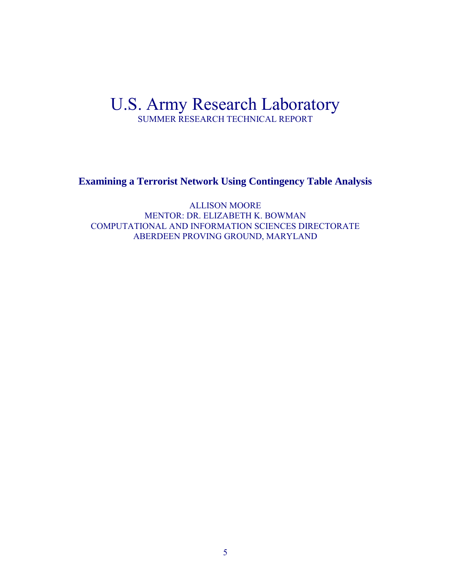# U.S. Army Research Laboratory SUMMER RESEARCH TECHNICAL REPORT

**Examining a Terrorist Network Using Contingency Table Analysis** 

ALLISON MOORE MENTOR: DR. ELIZABETH K. BOWMAN COMPUTATIONAL AND INFORMATION SCIENCES DIRECTORATE ABERDEEN PROVING GROUND, MARYLAND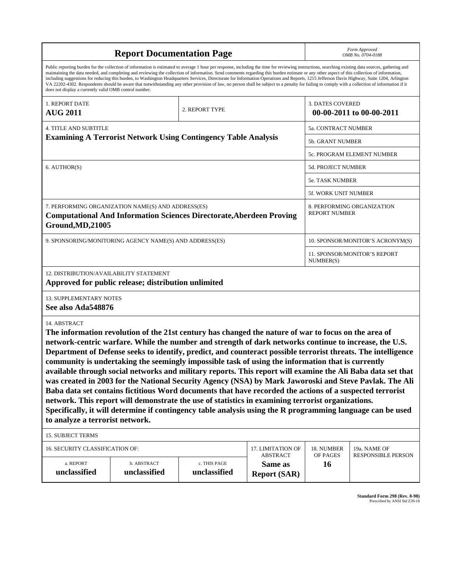|                                                        | Form Approved<br>OMB No. 0704-0188                      |                                                                                                                                                                                                                                                                                                                                                                                                                                                                                                                                                                                                                                                                                                                                                                                                                                                                                                                                                                                              |                                      |                                                     |                                           |  |  |
|--------------------------------------------------------|---------------------------------------------------------|----------------------------------------------------------------------------------------------------------------------------------------------------------------------------------------------------------------------------------------------------------------------------------------------------------------------------------------------------------------------------------------------------------------------------------------------------------------------------------------------------------------------------------------------------------------------------------------------------------------------------------------------------------------------------------------------------------------------------------------------------------------------------------------------------------------------------------------------------------------------------------------------------------------------------------------------------------------------------------------------|--------------------------------------|-----------------------------------------------------|-------------------------------------------|--|--|
| does not display a currently valid OMB control number. |                                                         | Public reporting burden for the collection of information is estimated to average 1 hour per response, including the time for reviewing instructions, searching existing data sources, gathering and<br>maintaining the data needed, and completing and reviewing the collection of information. Send comments regarding this burden estimate or any other aspect of this collection of information,<br>including suggestions for reducing this burden, to Washington Headquarters Services, Directorate for Information Operations and Reports, 1215 Jefferson Davis Highway, Suite 1204, Arlington<br>VA 22202-4302. Respondents should be aware that notwithstanding any other provision of law, no person shall be subject to a penalty for failing to comply with a collection of information if it                                                                                                                                                                                     |                                      |                                                     |                                           |  |  |
| 1. REPORT DATE<br><b>AUG 2011</b>                      |                                                         | 2. REPORT TYPE                                                                                                                                                                                                                                                                                                                                                                                                                                                                                                                                                                                                                                                                                                                                                                                                                                                                                                                                                                               |                                      | <b>3. DATES COVERED</b><br>00-00-2011 to 00-00-2011 |                                           |  |  |
| 4. TITLE AND SUBTITLE                                  |                                                         |                                                                                                                                                                                                                                                                                                                                                                                                                                                                                                                                                                                                                                                                                                                                                                                                                                                                                                                                                                                              |                                      | 5a. CONTRACT NUMBER                                 |                                           |  |  |
|                                                        |                                                         | <b>Examining A Terrorist Network Using Contingency Table Analysis</b>                                                                                                                                                                                                                                                                                                                                                                                                                                                                                                                                                                                                                                                                                                                                                                                                                                                                                                                        |                                      | 5b. GRANT NUMBER                                    |                                           |  |  |
|                                                        |                                                         |                                                                                                                                                                                                                                                                                                                                                                                                                                                                                                                                                                                                                                                                                                                                                                                                                                                                                                                                                                                              |                                      |                                                     | 5c. PROGRAM ELEMENT NUMBER                |  |  |
| 6. AUTHOR(S)                                           |                                                         |                                                                                                                                                                                                                                                                                                                                                                                                                                                                                                                                                                                                                                                                                                                                                                                                                                                                                                                                                                                              |                                      | <b>5d. PROJECT NUMBER</b>                           |                                           |  |  |
|                                                        |                                                         |                                                                                                                                                                                                                                                                                                                                                                                                                                                                                                                                                                                                                                                                                                                                                                                                                                                                                                                                                                                              |                                      | <b>5e. TASK NUMBER</b>                              |                                           |  |  |
|                                                        |                                                         |                                                                                                                                                                                                                                                                                                                                                                                                                                                                                                                                                                                                                                                                                                                                                                                                                                                                                                                                                                                              |                                      | <b>5f. WORK UNIT NUMBER</b>                         |                                           |  |  |
| Ground, MD, 21005                                      | 7. PERFORMING ORGANIZATION NAME(S) AND ADDRESS(ES)      | <b>Computational And Information Sciences Directorate, Aberdeen Proving</b>                                                                                                                                                                                                                                                                                                                                                                                                                                                                                                                                                                                                                                                                                                                                                                                                                                                                                                                  |                                      | <b>REPORT NUMBER</b>                                | 8. PERFORMING ORGANIZATION                |  |  |
|                                                        | 9. SPONSORING/MONITORING AGENCY NAME(S) AND ADDRESS(ES) |                                                                                                                                                                                                                                                                                                                                                                                                                                                                                                                                                                                                                                                                                                                                                                                                                                                                                                                                                                                              |                                      | 10. SPONSOR/MONITOR'S ACRONYM(S)                    |                                           |  |  |
|                                                        |                                                         |                                                                                                                                                                                                                                                                                                                                                                                                                                                                                                                                                                                                                                                                                                                                                                                                                                                                                                                                                                                              |                                      | 11. SPONSOR/MONITOR'S REPORT<br>NUMBER(S)           |                                           |  |  |
| 12. DISTRIBUTION/AVAILABILITY STATEMENT                | Approved for public release; distribution unlimited     |                                                                                                                                                                                                                                                                                                                                                                                                                                                                                                                                                                                                                                                                                                                                                                                                                                                                                                                                                                                              |                                      |                                                     |                                           |  |  |
| 13. SUPPLEMENTARY NOTES<br>See also Ada548876          |                                                         |                                                                                                                                                                                                                                                                                                                                                                                                                                                                                                                                                                                                                                                                                                                                                                                                                                                                                                                                                                                              |                                      |                                                     |                                           |  |  |
| 14. ABSTRACT<br>to analyze a terrorist network.        |                                                         | The information revolution of the 21st century has changed the nature of war to focus on the area of<br>network-centric warfare. While the number and strength of dark networks continue to increase, the U.S.<br>Department of Defense seeks to identify, predict, and counteract possible terrorist threats. The intelligence<br>community is undertaking the seemingly impossible task of using the information that is currently<br>available through social networks and military reports. This report will examine the Ali Baba data set that<br>was created in 2003 for the National Security Agency (NSA) by Mark Jaworoski and Steve Pavlak. The Ali<br>Baba data set contains fictitious Word documents that have recorded the actions of a suspected terrorist<br>network. This report will demonstrate the use of statistics in examining terrorist organizations.<br>Specifically, it will determine if contingency table analysis using the R programming language can be used |                                      |                                                     |                                           |  |  |
| <b>15. SUBJECT TERMS</b>                               |                                                         |                                                                                                                                                                                                                                                                                                                                                                                                                                                                                                                                                                                                                                                                                                                                                                                                                                                                                                                                                                                              |                                      |                                                     |                                           |  |  |
| 16. SECURITY CLASSIFICATION OF:                        |                                                         |                                                                                                                                                                                                                                                                                                                                                                                                                                                                                                                                                                                                                                                                                                                                                                                                                                                                                                                                                                                              | 17. LIMITATION OF<br><b>ABSTRACT</b> | 18. NUMBER<br>OF PAGES                              | 19a. NAME OF<br><b>RESPONSIBLE PERSON</b> |  |  |
| a. REPORT<br>unclassified                              | b. ABSTRACT<br>unclassified                             | c. THIS PAGE<br>unclassified                                                                                                                                                                                                                                                                                                                                                                                                                                                                                                                                                                                                                                                                                                                                                                                                                                                                                                                                                                 | Same as<br><b>Report (SAR)</b>       | <b>16</b>                                           |                                           |  |  |

**Standard Form 298 (Rev. 8-98)**<br>Prescribed by ANSI Std Z39-18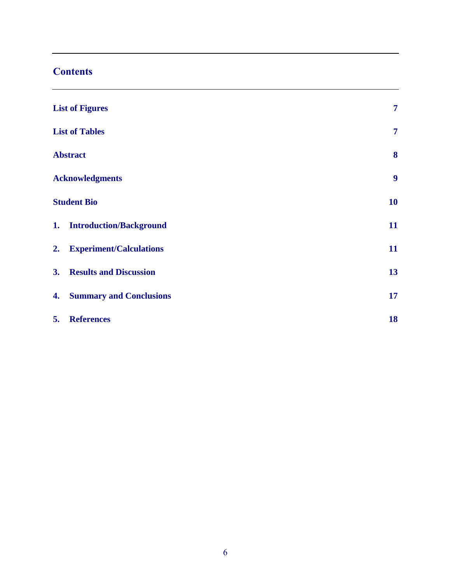## **Contents**

|    | <b>List of Figures</b>         | $\overline{7}$ |
|----|--------------------------------|----------------|
|    | <b>List of Tables</b>          | $\overline{7}$ |
|    | <b>Abstract</b>                | 8              |
|    | <b>Acknowledgments</b>         | 9              |
|    | <b>Student Bio</b>             | <b>10</b>      |
|    | 1. Introduction/Background     | 11             |
| 2. | <b>Experiment/Calculations</b> | 11             |
| 3. | <b>Results and Discussion</b>  | 13             |
| 4. | <b>Summary and Conclusions</b> | 17             |
| 5. | <b>References</b>              | 18             |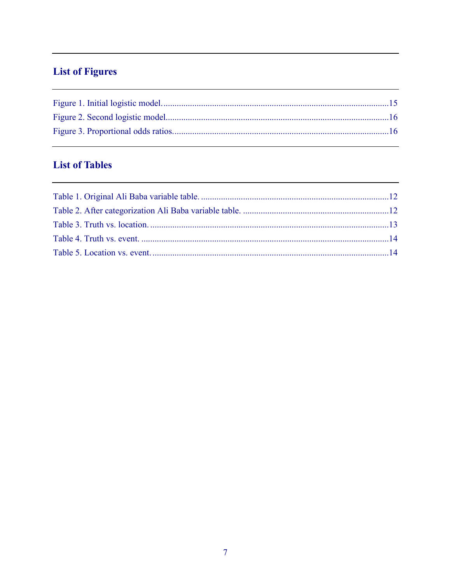# **List of Figures**

# **List of Tables**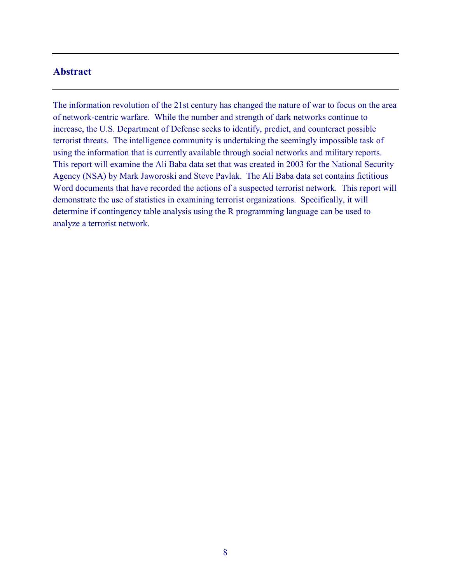### **Abstract**

The information revolution of the 21st century has changed the nature of war to focus on the area of network-centric warfare. While the number and strength of dark networks continue to increase, the U.S. Department of Defense seeks to identify, predict, and counteract possible terrorist threats. The intelligence community is undertaking the seemingly impossible task of using the information that is currently available through social networks and military reports. This report will examine the Ali Baba data set that was created in 2003 for the National Security Agency (NSA) by Mark Jaworoski and Steve Pavlak. The Ali Baba data set contains fictitious Word documents that have recorded the actions of a suspected terrorist network. This report will demonstrate the use of statistics in examining terrorist organizations. Specifically, it will determine if contingency table analysis using the R programming language can be used to analyze a terrorist network.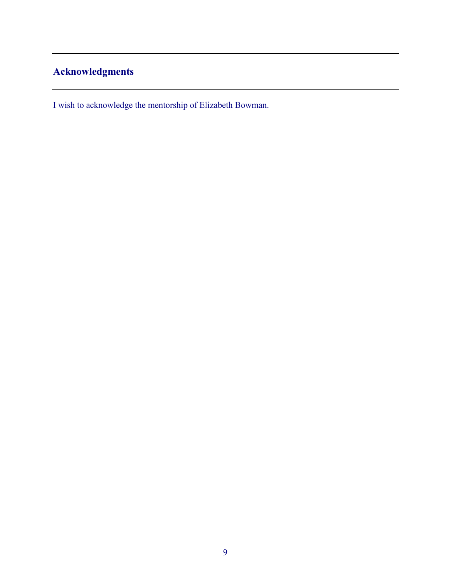# **Acknowledgments**

I wish to acknowledge the mentorship of Elizabeth Bowman.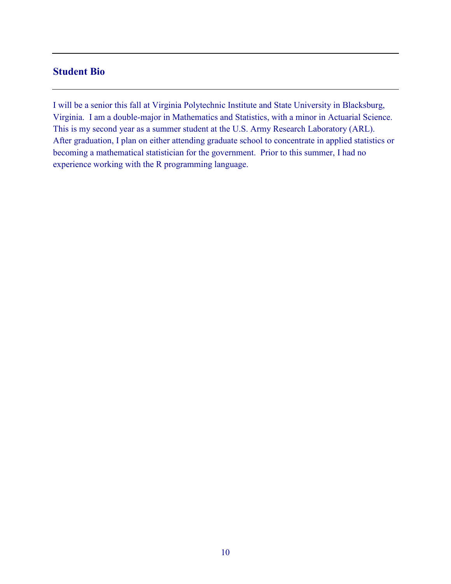## **Student Bio**

I will be a senior this fall at Virginia Polytechnic Institute and State University in Blacksburg, Virginia. I am a double-major in Mathematics and Statistics, with a minor in Actuarial Science. This is my second year as a summer student at the U.S. Army Research Laboratory (ARL). After graduation, I plan on either attending graduate school to concentrate in applied statistics or becoming a mathematical statistician for the government. Prior to this summer, I had no experience working with the R programming language.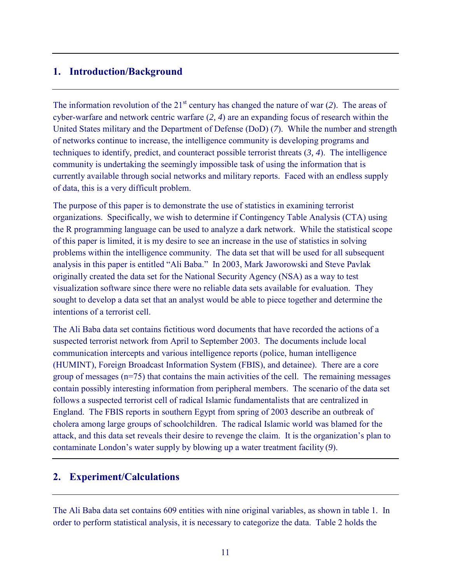### **1. Introduction/Background**

The information revolution of the  $21<sup>st</sup>$  century has changed the nature of war (2). The areas of cyber-warfare and network centric warfare (*2, 4*) are an expanding focus of research within the United States military and the Department of Defense (DoD) (*7*). While the number and strength of networks continue to increase, the intelligence community is developing programs and techniques to identify, predict, and counteract possible terrorist threats (*3, 4*). The intelligence community is undertaking the seemingly impossible task of using the information that is currently available through social networks and military reports. Faced with an endless supply of data, this is a very difficult problem.

The purpose of this paper is to demonstrate the use of statistics in examining terrorist organizations. Specifically, we wish to determine if Contingency Table Analysis (CTA) using the R programming language can be used to analyze a dark network. While the statistical scope of this paper is limited, it is my desire to see an increase in the use of statistics in solving problems within the intelligence community. The data set that will be used for all subsequent analysis in this paper is entitled "Ali Baba." In 2003, Mark Jaworowski and Steve Pavlak originally created the data set for the National Security Agency (NSA) as a way to test visualization software since there were no reliable data sets available for evaluation. They sought to develop a data set that an analyst would be able to piece together and determine the intentions of a terrorist cell.

The Ali Baba data set contains fictitious word documents that have recorded the actions of a suspected terrorist network from April to September 2003. The documents include local communication intercepts and various intelligence reports (police, human intelligence (HUMINT), Foreign Broadcast Information System (FBIS), and detainee). There are a core group of messages (n=75) that contains the main activities of the cell. The remaining messages contain possibly interesting information from peripheral members. The scenario of the data set follows a suspected terrorist cell of radical Islamic fundamentalists that are centralized in England. The FBIS reports in southern Egypt from spring of 2003 describe an outbreak of cholera among large groups of schoolchildren. The radical Islamic world was blamed for the attack, and this data set reveals their desire to revenge the claim. It is the organization's plan to contaminate London's water supply by blowing up a water treatment facility (*9*).

#### **2. Experiment/Calculations**

The Ali Baba data set contains 609 entities with nine original variables, as shown in table 1*.* In order to perform statistical analysis, it is necessary to categorize the data. Table 2 holds the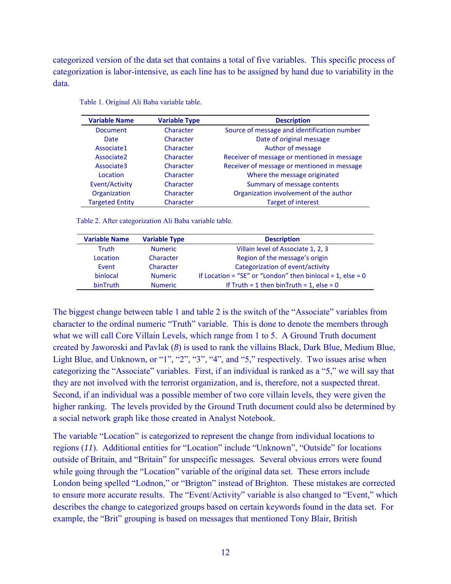categorized version of the data set that contains a total of five variables. This specific process of categorization is labor-intensive, as each line has to be assigned by hand due to variability in the data.

| <b>Variable Name</b>   | <b>Variable Type</b> | <b>Description</b>                          |  |  |  |  |  |
|------------------------|----------------------|---------------------------------------------|--|--|--|--|--|
| <b>Document</b>        | Character            | Source of message and identification number |  |  |  |  |  |
| Date                   | Character            | Date of original message                    |  |  |  |  |  |
| Associate1             | Character            | Author of message                           |  |  |  |  |  |
| Associate2             | Character            | Receiver of message or mentioned in message |  |  |  |  |  |
| Associate3             | Character            | Receiver of message or mentioned in message |  |  |  |  |  |
| Location               | Character            | Where the message originated                |  |  |  |  |  |
| Event/Activity         | Character            | Summary of message contents                 |  |  |  |  |  |
| Organization           | Character            | Organization involvement of the author      |  |  |  |  |  |
| <b>Targeted Entity</b> | Character            | <b>Target of interest</b>                   |  |  |  |  |  |

Table 1. Original Ali Baba variable table.

Table 2. After categorization Ali Baba variable table.

| <b>Variable Name</b> | <b>Variable Type</b> | <b>Description</b>                                           |  |  |  |  |
|----------------------|----------------------|--------------------------------------------------------------|--|--|--|--|
| Truth                | <b>Numeric</b>       | Villain level of Associate 1, 2, 3                           |  |  |  |  |
| Location             | Character            | Region of the message's origin                               |  |  |  |  |
| Event                | Character            | Categorization of event/activity                             |  |  |  |  |
| binlocal             | <b>Numeric</b>       | If Location = "SE" or "London" then binlocal = 1, else = $0$ |  |  |  |  |
| binTruth             | <b>Numeric</b>       | If Truth = 1 then binTruth = 1, else = $0$                   |  |  |  |  |

The biggest change between table 1 and table 2 is the switch of the "Associate" variables from character to the ordinal numeric "Truth" variable. This is done to denote the members through what we will call Core Villain Levels, which range from 1 to 5. A Ground Truth document created by Jaworoski and Pavlak (*8*) is used to rank the villains Black, Dark Blue, Medium Blue, Light Blue, and Unknown, or "1", "2", "3", "4", and "5," respectively. Two issues arise when categorizing the "Associate" variables. First, if an individual is ranked as a "5," we will say that they are not involved with the terrorist organization, and is, therefore, not a suspected threat. Second, if an individual was a possible member of two core villain levels, they were given the higher ranking. The levels provided by the Ground Truth document could also be determined by a social network graph like those created in Analyst Notebook.

The variable "Location" is categorized to represent the change from individual locations to regions (*11*). Additional entities for "Location" include "Unknown", "Outside" for locations outside of Britain, and "Britain" for unspecific messages. Several obvious errors were found while going through the "Location" variable of the original data set. These errors include London being spelled "Lodnon," or "Brigton" instead of Brighton. These mistakes are corrected to ensure more accurate results. The "Event/Activity" variable is also changed to "Event," which describes the change to categorized groups based on certain keywords found in the data set. For example, the "Brit" grouping is based on messages that mentioned Tony Blair, British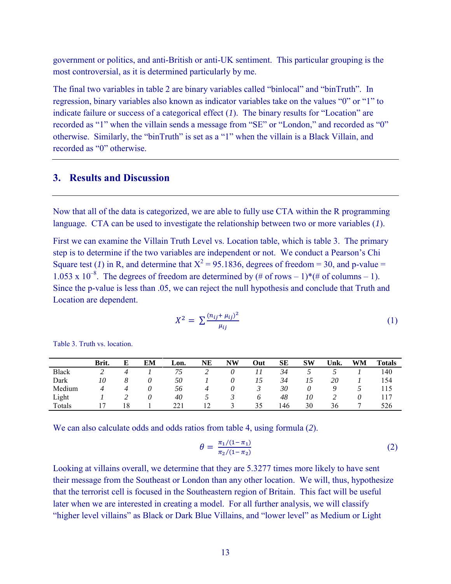government or politics, and anti-British or anti-UK sentiment. This particular grouping is the most controversial, as it is determined particularly by me.

The final two variables in table 2 are binary variables called "binlocal" and "binTruth". In regression, binary variables also known as indicator variables take on the values "0" or "1" to indicate failure or success of a categorical effect (*1*). The binary results for "Location" are recorded as "1" when the villain sends a message from "SE" or "London," and recorded as "0" otherwise. Similarly, the "binTruth" is set as a "1" when the villain is a Black Villain, and recorded as "0" otherwise.

#### **3. Results and Discussion**

Now that all of the data is categorized, we are able to fully use CTA within the R programming language. CTA can be used to investigate the relationship between two or more variables (*1*).

First we can examine the Villain Truth Level vs. Location table, which is table 3. The primary step is to determine if the two variables are independent or not. We conduct a Pearson's Chi Square test (1) in R, and determine that  $X^2 = 95.1836$ , degrees of freedom = 30, and p-value = 1.053 x  $10^{-8}$ . The degrees of freedom are determined by (# of rows – 1)\*(# of columns – 1). Since the p-value is less than .05, we can reject the null hypothesis and conclude that Truth and Location are dependent.

$$
X^{2} = \sum \frac{(n_{ij} + \mu_{ij})^{2}}{\mu_{ij}}
$$
 (1)

|              | Brit. |    | EM | $\mathbf{\mathbf{\omega}}$ on. | NE | <b>NW</b> | Out | <b>SE</b> | <b>SW</b> | Unk. | <b>WM</b> | <b>Totals</b> |
|--------------|-------|----|----|--------------------------------|----|-----------|-----|-----------|-----------|------|-----------|---------------|
| <b>Black</b> |       |    |    | 75                             |    |           |     | 34        |           |      |           | 140           |
| Dark         | 10    |    |    | 50                             |    |           |     | 34        | 15        | 20   |           | 154           |
| Medium       |       |    |    | 56                             |    |           |     | 30        | 0         |      |           | 115           |
| Light        |       |    |    | 40                             |    |           | O   | 48        | 10        |      |           |               |
| Totals       |       | 18 |    | 221                            |    |           | 35  | 146       | 30        | 36   |           | 526           |

Table 3. Truth vs. location.

We can also calculate odds and odds ratios from table 4, using formula (*2*).

$$
\theta = \frac{\pi_1/(1-\pi_1)}{\pi_2/(1-\pi_2)}\tag{2}
$$

Looking at villains overall, we determine that they are 5.3277 times more likely to have sent their message from the Southeast or London than any other location. We will, thus, hypothesize that the terrorist cell is focused in the Southeastern region of Britain. This fact will be useful later when we are interested in creating a model. For all further analysis, we will classify "higher level villains" as Black or Dark Blue Villains, and "lower level" as Medium or Light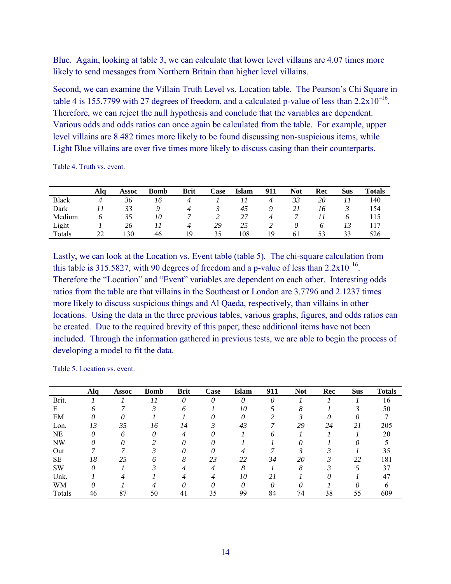Blue. Again, looking at table 3, we can calculate that lower level villains are 4.07 times more likely to send messages from Northern Britain than higher level villains.

Second, we can examine the Villain Truth Level vs. Location table. The Pearson's Chi Square in table 4 is 155.7799 with 27 degrees of freedom, and a calculated p-value of less than  $2.2 \times 10^{-16}$ . Therefore, we can reject the null hypothesis and conclude that the variables are dependent. Various odds and odds ratios can once again be calculated from the table. For example, upper level villains are 8.482 times more likely to be found discussing non-suspicious items, while Light Blue villains are over five times more likely to discuss casing than their counterparts.

Table 4. Truth vs. event.

|              | Alq            | <b>Assoc</b> | <b>Bomb</b> | <b>Brit</b> | Case | <b>Islam</b> | 911 | <b>Not</b> | Rec | <b>Sus</b> | <b>Totals</b> |
|--------------|----------------|--------------|-------------|-------------|------|--------------|-----|------------|-----|------------|---------------|
| <b>Black</b> | $\overline{4}$ | 36           | 16          |             |      |              | 4   | 33         | 20  |            | 140           |
| Dark         |                | 33           |             |             |      | 45           |     | 21         | 10  |            | 154           |
| Medium       |                | 35           | 10          |             |      | 27           |     |            |     |            | 15            |
| Light        |                | 26           |             |             | 29   | 25           |     |            |     | 13         |               |
| Totals       |                | 130          | 46          | ۱9          | 35   | 108          | 19  | 61         | 53  | 33         | 526           |

Lastly, we can look at the Location vs. Event table (table 5)*.* The chi-square calculation from this table is 315.5827, with 90 degrees of freedom and a p-value of less than  $2.2 \times 10^{-16}$ . Therefore the "Location" and "Event" variables are dependent on each other. Interesting odds ratios from the table are that villains in the Southeast or London are 3.7796 and 2.1237 times more likely to discuss suspicious things and Al Qaeda, respectively, than villains in other locations. Using the data in the three previous tables, various graphs, figures, and odds ratios can be created. Due to the required brevity of this paper, these additional items have not been included. Through the information gathered in previous tests, we are able to begin the process of developing a model to fit the data.

Table 5. Location vs. event.

|           | Alq | <b>Assoc</b> | <b>Bomb</b> | <b>Brit</b>  | Case | Islam | 911 | <b>Not</b> | Rec | <b>Sus</b> | <b>Totals</b> |
|-----------|-----|--------------|-------------|--------------|------|-------|-----|------------|-----|------------|---------------|
| Brit.     |     |              | 11          | 0            | 0    | 0     | 0   |            |     |            | 16            |
| E         | 6   |              |             | <sup>6</sup> |      | 10    |     | 8          |     |            | 50            |
| EM        | 0   |              |             |              |      |       |     |            |     |            |               |
| Lon.      | 13  | 35           | 16          | 14           |      | 43    |     | 29         | 24  | 21         | 205           |
| NE        | 0   | 6            | 0           | 4            | 0    |       | 6   |            |     |            | 20            |
| NW        | 0   | 0            |             | 0            | 0    |       |     | 0          |     | 0          |               |
| Out       |     |              |             | 0            | 0    |       |     | 3          |     |            | 35            |
| <b>SE</b> | 18  | 25           | 6           | 8            | 23   | 22    | 34  | 20         |     | 22         | 181           |
| <b>SW</b> | 0   |              |             |              | 4    | 8     |     | 8          |     |            | 37            |
| Unk.      |     |              |             |              | 4    | 10    | 21  |            | 0   |            | 47            |
| WM        | 0   |              |             |              | 0    | 0     | 0   | 0          |     | 0          |               |
| Totals    | 46  | 87           | 50          | 41           | 35   | 99    | 84  | 74         | 38  | 55         | 609           |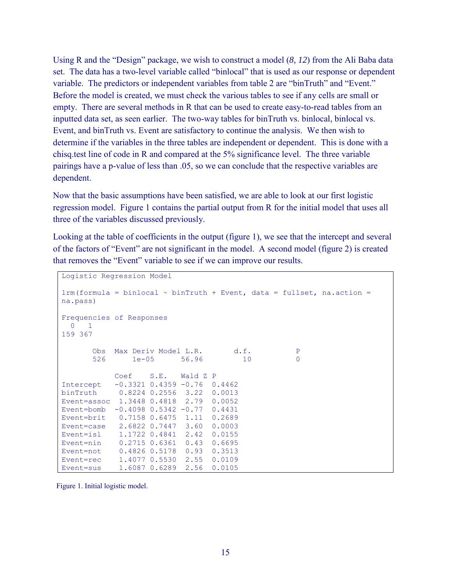Using R and the "Design" package, we wish to construct a model (*8, 12*) from the Ali Baba data set. The data has a two-level variable called "binlocal" that is used as our response or dependent variable. The predictors or independent variables from table 2 are "binTruth" and "Event." Before the model is created, we must check the various tables to see if any cells are small or empty. There are several methods in R that can be used to create easy-to-read tables from an inputted data set, as seen earlier. The two-way tables for binTruth vs. binlocal, binlocal vs. Event, and binTruth vs. Event are satisfactory to continue the analysis. We then wish to determine if the variables in the three tables are independent or dependent. This is done with a chisq.test line of code in R and compared at the 5% significance level. The three variable pairings have a p-value of less than .05, so we can conclude that the respective variables are dependent.

Now that the basic assumptions have been satisfied, we are able to look at our first logistic regression model. Figure 1 contains the partial output from R for the initial model that uses all three of the variables discussed previously.

Looking at the table of coefficients in the output (figure 1), we see that the intercept and several of the factors of "Event" are not significant in the model. A second model (figure 2) is created that removes the "Event" variable to see if we can improve our results.

```
Logistic Regression Model
lmm(formula = binlocal ~ ~ binTruth + Event, data = fullset, na.action =na.pass)
Frequencies of Responses
  0 1 
159 367 
      Obs Max Deriv Model L.R. d.f. P
       526 1e-05 56.96 10 0 
           Coef S.E. Wald Z P 
Intercept -0.3321 0.4359 -0.76 0.4462
binTruth 0.8224 0.2556 3.22 0.0013
Event=assoc 1.3448 0.4818 2.79 0.0052
Event=bomb -0.4098 0.5342 -0.77 0.4431
Event=brit 0.7158 0.6475 1.11 0.2689
Event=case 2.6822 0.7447 3.60 0.0003
Event=isl 1.1722 0.4841 2.42 0.0155
Event=nin 0.2715 0.6361 0.43 0.6695
Event=not 0.4826 0.5178 0.93 0.3513
Event=rec 1.4077 0.5530 2.55 0.0109
Event=sus 1.6087 0.6289 2.56 0.0105
```
Figure 1. Initial logistic model.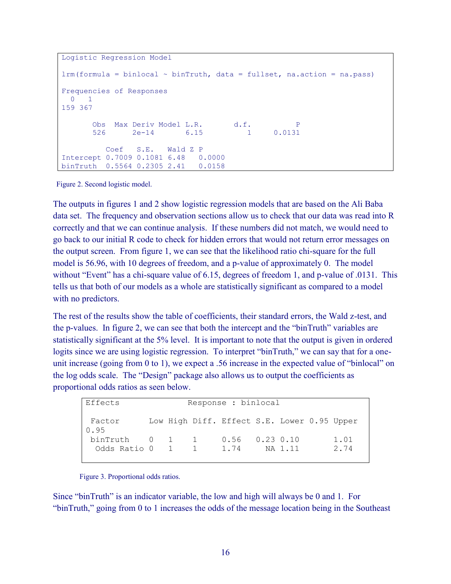```
Logistic Regression Model
lmm(formula = binlocal ~with, data = fullset, na.action = na.pass)Frequencies of Responses
  0 1 
159 367 
      Obs Max Deriv Model L.R. d.f. P
       526 2e-14 6.15 1 0.0131 
         Coef S.E. Wald Z P 
Intercept 0.7009 0.1081 6.48 0.0000
binTruth 0.5564 0.2305 2.41 0.0158
```
Figure 2. Second logistic model.

The outputs in figures 1 and 2 show logistic regression models that are based on the Ali Baba data set. The frequency and observation sections allow us to check that our data was read into R correctly and that we can continue analysis. If these numbers did not match, we would need to go back to our initial R code to check for hidden errors that would not return error messages on the output screen. From figure 1, we can see that the likelihood ratio chi-square for the full model is 56.96, with 10 degrees of freedom, and a p-value of approximately 0. The model without "Event" has a chi-square value of 6.15, degrees of freedom 1, and p-value of .0131. This tells us that both of our models as a whole are statistically significant as compared to a model with no predictors.

The rest of the results show the table of coefficients, their standard errors, the Wald z-test, and the p-values. In figure 2, we can see that both the intercept and the "binTruth" variables are statistically significant at the 5% level. It is important to note that the output is given in ordered logits since we are using logistic regression. To interpret "binTruth," we can say that for a oneunit increase (going from 0 to 1), we expect a .56 increase in the expected value of "binlocal" on the log odds scale. The "Design" package also allows us to output the coefficients as proportional odds ratios as seen below.

| Effects                                           | Response : binlocal |  |  |                                             |  |         |  |              |  |  |
|---------------------------------------------------|---------------------|--|--|---------------------------------------------|--|---------|--|--------------|--|--|
| Factor<br>0.95                                    |                     |  |  | Low High Diff. Effect S.E. Lower 0.95 Upper |  |         |  |              |  |  |
| binTruth 0 1 1 0.56 0.23 0.10<br>Odds Ratio 0 1 1 |                     |  |  | 1.74                                        |  | NA 1.11 |  | 1.01<br>2.74 |  |  |

Figure 3. Proportional odds ratios.

Since "binTruth" is an indicator variable, the low and high will always be 0 and 1. For "binTruth," going from 0 to 1 increases the odds of the message location being in the Southeast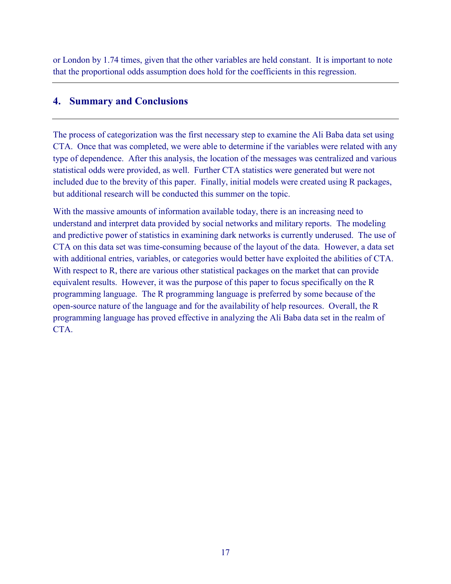or London by 1.74 times, given that the other variables are held constant. It is important to note that the proportional odds assumption does hold for the coefficients in this regression.

#### **4. Summary and Conclusions**

The process of categorization was the first necessary step to examine the Ali Baba data set using CTA. Once that was completed, we were able to determine if the variables were related with any type of dependence. After this analysis, the location of the messages was centralized and various statistical odds were provided, as well. Further CTA statistics were generated but were not included due to the brevity of this paper. Finally, initial models were created using R packages, but additional research will be conducted this summer on the topic.

With the massive amounts of information available today, there is an increasing need to understand and interpret data provided by social networks and military reports. The modeling and predictive power of statistics in examining dark networks is currently underused. The use of CTA on this data set was time-consuming because of the layout of the data. However, a data set with additional entries, variables, or categories would better have exploited the abilities of CTA. With respect to R, there are various other statistical packages on the market that can provide equivalent results. However, it was the purpose of this paper to focus specifically on the R programming language. The R programming language is preferred by some because of the open-source nature of the language and for the availability of help resources. Overall, the R programming language has proved effective in analyzing the Ali Baba data set in the realm of CTA.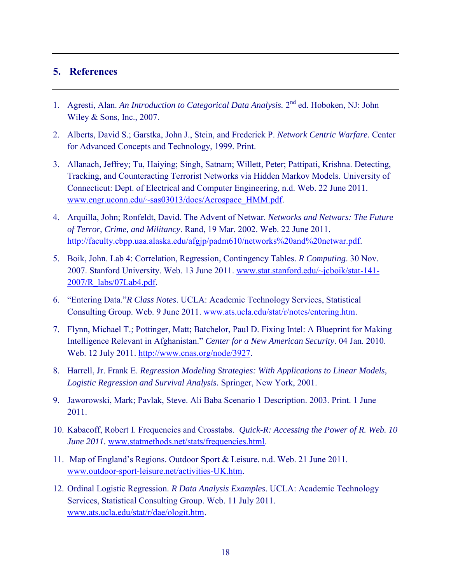### **5. References**

- 1. Agresti, Alan. An Introduction to Categorical Data Analysis. 2<sup>nd</sup> ed. Hoboken, NJ: John Wiley & Sons, Inc., 2007.
- 2. Alberts, David S.; Garstka, John J., Stein, and Frederick P. *Network Centric Warfare.* Center for Advanced Concepts and Technology, 1999. Print.
- 3. Allanach, Jeffrey; Tu, Haiying; Singh, Satnam; Willett, Peter; Pattipati, Krishna. Detecting, Tracking, and Counteracting Terrorist Networks via Hidden Markov Models. University of Connecticut: Dept. of Electrical and Computer Engineering, n.d. Web. 22 June 2011. www.engr.uconn.edu/~sas03013/docs/Aerospace\_HMM.pdf.
- 4. Arquilla, John; Ronfeldt, David. The Advent of Netwar. *Networks and Netwars: The Future of Terror, Crime, and Militancy*. Rand, 19 Mar. 2002. Web. 22 June 2011. http://faculty.cbpp.uaa.alaska.edu/afgjp/padm610/networks%20and%20netwar.pdf.
- 5. Boik, John. Lab 4: Correlation, Regression, Contingency Tables. *R Computing*. 30 Nov. 2007. Stanford University. Web. 13 June 2011. www.stat.stanford.edu/~jcboik/stat-141- 2007/R\_labs/07Lab4.pdf.
- 6. "Entering Data."*R Class Notes*. UCLA: Academic Technology Services, Statistical Consulting Group. Web. 9 June 2011. www.ats.ucla.edu/stat/r/notes/entering.htm.
- 7. Flynn, Michael T.; Pottinger, Matt; Batchelor, Paul D. Fixing Intel: A Blueprint for Making Intelligence Relevant in Afghanistan." *Center for a New American Security*. 04 Jan. 2010. Web. 12 July 2011. http://www.cnas.org/node/3927.
- 8. Harrell, Jr. Frank E. *Regression Modeling Strategies: With Applications to Linear Models, Logistic Regression and Survival Analysis.* Springer, New York, 2001.
- 9. Jaworowski, Mark; Pavlak, Steve. Ali Baba Scenario 1 Description. 2003. Print. 1 June 2011.
- 10. Kabacoff, Robert I. Frequencies and Crosstabs. *Quick-R: Accessing the Power of R. Web. 10 June 2011.* www.statmethods.net/stats/frequencies.html.
- 11. Map of England's Regions. Outdoor Sport & Leisure. n.d. Web. 21 June 2011. www.outdoor-sport-leisure.net/activities-UK.htm.
- 12. Ordinal Logistic Regression. *R Data Analysis Examples*. UCLA: Academic Technology Services, Statistical Consulting Group. Web. 11 July 2011. www.ats.ucla.edu/stat/r/dae/ologit.htm.